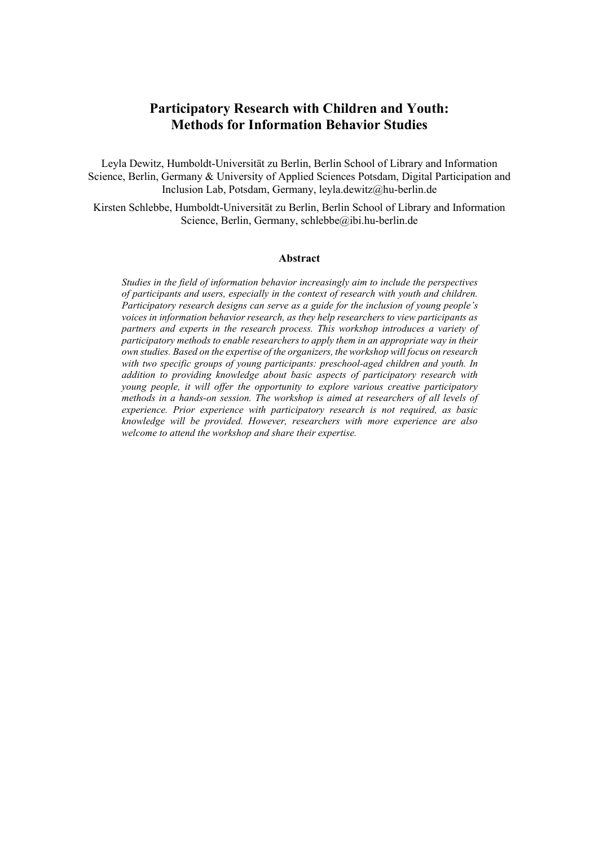# **Participatory Research with Children and Youth: Methods for Information Behavior Studies**

Leyla Dewitz, Humboldt-Universität zu Berlin, Berlin School of Library and Information Science, Berlin, Germany & University of Applied Sciences Potsdam, Digital Participation and Inclusion Lab, Potsdam, Germany, leyla.dewitz@hu-berlin.de

Kirsten Schlebbe, Humboldt-Universität zu Berlin, Berlin School of Library and Information Science, Berlin, Germany, [schlebbe@ibi.hu-berlin.de](mailto:schlebbe@ibi.hu-berlin.de)

### **Abstract**

*Studies in the field of information behavior increasingly aim to include the perspectives of participants and users, especially in the context of research with youth and children. Participatory research designs can serve as a guide for the inclusion of young people's voices in information behavior research, as they help researchers to view participants as partners and experts in the research process. This workshop introduces a variety of participatory methods to enable researchers to apply them in an appropriate way in their own studies. Based on the expertise of the organizers, the workshop will focus on research with two specific groups of young participants: preschool-aged children and youth. In addition to providing knowledge about basic aspects of participatory research with young people, it will offer the opportunity to explore various creative participatory methods in a hands-on session. The workshop is aimed at researchers of all levels of experience. Prior experience with participatory research is not required, as basic knowledge will be provided. However, researchers with more experience are also welcome to attend the workshop and share their expertise.*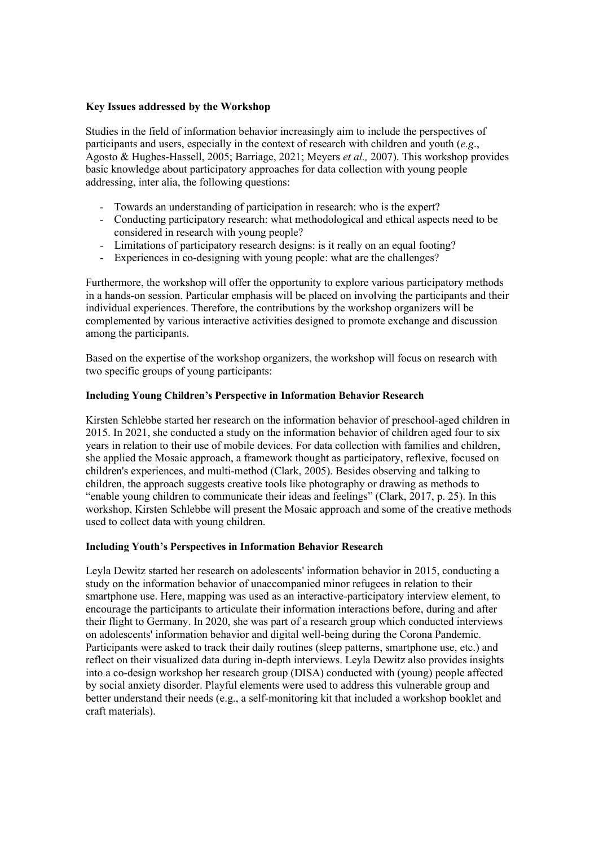### **Key Issues addressed by the Workshop**

Studies in the field of information behavior increasingly aim to include the perspectives of participants and users, especially in the context of research with children and youth (*e.g*., Agosto & Hughes-Hassell, 2005; Barriage, 2021; Meyers *et al.,* 2007). This workshop provides basic knowledge about participatory approaches for data collection with young people addressing, inter alia, the following questions:

- Towards an understanding of participation in research: who is the expert?
- Conducting participatory research: what methodological and ethical aspects need to be considered in research with young people?
- Limitations of participatory research designs: is it really on an equal footing?
- Experiences in co-designing with young people: what are the challenges?

Furthermore, the workshop will offer the opportunity to explore various participatory methods in a hands-on session. Particular emphasis will be placed on involving the participants and their individual experiences. Therefore, the contributions by the workshop organizers will be complemented by various interactive activities designed to promote exchange and discussion among the participants.

Based on the expertise of the workshop organizers, the workshop will focus on research with two specific groups of young participants:

### **Including Young Children's Perspective in Information Behavior Research**

Kirsten Schlebbe started her research on the information behavior of preschool-aged children in 2015. In 2021, she conducted a study on the information behavior of children aged four to six years in relation to their use of mobile devices. For data collection with families and children, she applied the Mosaic approach, a framework thought as participatory, reflexive, focused on children's experiences, and multi-method (Clark, 2005). Besides observing and talking to children, the approach suggests creative tools like photography or drawing as methods to "enable young children to communicate their ideas and feelings" (Clark, 2017, p. 25). In this workshop, Kirsten Schlebbe will present the Mosaic approach and some of the creative methods used to collect data with young children.

### **Including Youth's Perspectives in Information Behavior Research**

Leyla Dewitz started her research on adolescents' information behavior in 2015, conducting a study on the information behavior of unaccompanied minor refugees in relation to their smartphone use. Here, mapping was used as an interactive-participatory interview element, to encourage the participants to articulate their information interactions before, during and after their flight to Germany. In 2020, she was part of a research group which conducted interviews on adolescents' information behavior and digital well-being during the Corona Pandemic. Participants were asked to track their daily routines (sleep patterns, smartphone use, etc.) and reflect on their visualized data during in-depth interviews. Leyla Dewitz also provides insights into a co-design workshop her research group (DISA) conducted with (young) people affected by social anxiety disorder. Playful elements were used to address this vulnerable group and better understand their needs (e.g., a self-monitoring kit that included a workshop booklet and craft materials).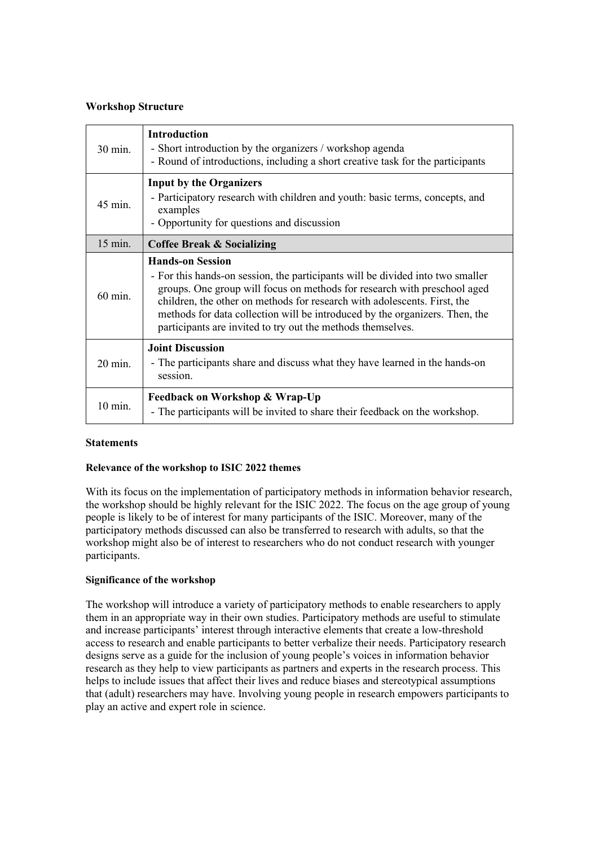## **Workshop Structure**

| 30 min.           | <b>Introduction</b><br>- Short introduction by the organizers / workshop agenda<br>- Round of introductions, including a short creative task for the participants                                                                                                                                                                                                                                               |
|-------------------|-----------------------------------------------------------------------------------------------------------------------------------------------------------------------------------------------------------------------------------------------------------------------------------------------------------------------------------------------------------------------------------------------------------------|
| $45 \text{ min}$  | <b>Input by the Organizers</b><br>- Participatory research with children and youth: basic terms, concepts, and<br>examples<br>- Opportunity for questions and discussion                                                                                                                                                                                                                                        |
| 15 min.           | <b>Coffee Break &amp; Socializing</b>                                                                                                                                                                                                                                                                                                                                                                           |
| $60$ min.         | <b>Hands-on Session</b><br>- For this hands-on session, the participants will be divided into two smaller<br>groups. One group will focus on methods for research with preschool aged<br>children, the other on methods for research with adolescents. First, the<br>methods for data collection will be introduced by the organizers. Then, the<br>participants are invited to try out the methods themselves. |
| $20 \text{ min.}$ | <b>Joint Discussion</b><br>- The participants share and discuss what they have learned in the hands-on<br>session.                                                                                                                                                                                                                                                                                              |
| 10 min.           | <b>Feedback on Workshop &amp; Wrap-Up</b><br>- The participants will be invited to share their feedback on the workshop.                                                                                                                                                                                                                                                                                        |

## **Statements**

## **Relevance of the workshop to ISIC 2022 themes**

With its focus on the implementation of participatory methods in information behavior research, the workshop should be highly relevant for the ISIC 2022. The focus on the age group of young people is likely to be of interest for many participants of the ISIC. Moreover, many of the participatory methods discussed can also be transferred to research with adults, so that the workshop might also be of interest to researchers who do not conduct research with younger participants.

## **Significance of the workshop**

The workshop will introduce a variety of participatory methods to enable researchers to apply them in an appropriate way in their own studies. Participatory methods are useful to stimulate and increase participants' interest through interactive elements that create a low-threshold access to research and enable participants to better verbalize their needs. Participatory research designs serve as a guide for the inclusion of young people's voices in information behavior research as they help to view participants as partners and experts in the research process. This helps to include issues that affect their lives and reduce biases and stereotypical assumptions that (adult) researchers may have. Involving young people in research empowers participants to play an active and expert role in science.